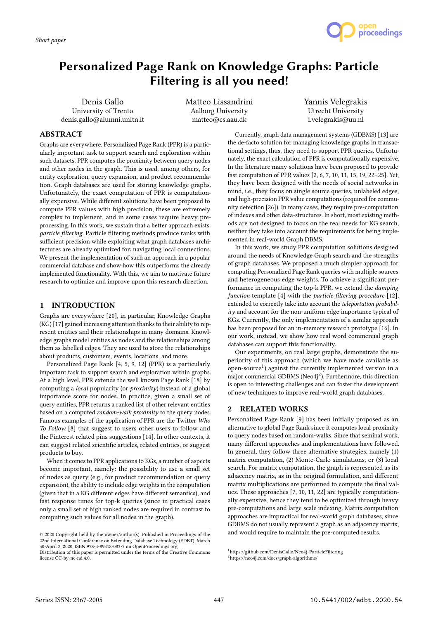

# Personalized Page Rank on Knowledge Graphs: Particle Filtering is all you need!

Denis Gallo University of Trento denis.gallo@alumni.unitn.it Matteo Lissandrini Aalborg University matteo@cs.aau.dk

Yannis Velegrakis Utrecht University i.velegrakis@uu.nl

## ABSTRACT

Graphs are everywhere. Personalized Page Rank (PPR) is a particularly important task to support search and exploration within such datasets. PPR computes the proximity between query nodes and other nodes in the graph. This is used, among others, for entity exploration, query expansion, and product recommendation. Graph databases are used for storing knowledge graphs. Unfortunately, the exact computation of PPR is computationally expensive. While different solutions have been proposed to compute PPR values with high precision, these are extremely complex to implement, and in some cases require heavy preprocessing. In this work, we sustain that a better approach exists: particle filtering. Particle filtering methods produce ranks with sufficient precision while exploiting what graph databases architectures are already optimized for: navigating local connections. We present the implementation of such an approach in a popular commercial database and show how this outperforms the already implemented functionality. With this, we aim to motivate future research to optimize and improve upon this research direction.

### 1 INTRODUCTION

Graphs are everywhere [20], in particular, Knowledge Graphs (KG) [17] gained increasing attention thanks to their ability to represent entities and their relationships in many domains. Knowledge graphs model entities as nodes and the relationships among them as labelled edges. They are used to store the relationships about products, customers, events, locations, and more.

Personalized Page Rank [4, 5, 9, 12] (PPR) is a particularly important task to support search and exploration within graphs. At a high level, PPR extends the well known Page Rank [18] by computing a local popularity (or proximity) instead of a global importance score for nodes. In practice, given a small set of query entities, PPR returns a ranked list of other relevant entities based on a computed random-walk proximity to the query nodes. Famous examples of the application of PPR are the Twitter Who To Follow [8] that suggest to users other users to follow and the Pinterest related pins suggestions [14]. In other contexts, it can suggest related scientific articles, related entities, or suggest products to buy.

When it comes to PPR applications to KGs, a number of aspects become important, namely: the possibility to use a small set of nodes as query (e.g., for product recommendation or query expansion), the ability to include edge weights in the computation (given that in a KG different edges have different semantics), and fast response times for top-k queries (since in practical cases only a small set of high ranked nodes are required in contrast to computing such values for all nodes in the graph).

Currently, graph data management systems (GDBMS) [13] are the de-facto solution for managing knowledge graphs in transactional settings, thus, they need to support PPR queries. Unfortunately, the exact calculation of PPR is computationally expensive. In the literature many solutions have been proposed to provide fast computation of PPR values [2, 6, 7, 10, 11, 15, 19, 22–25]. Yet, they have been designed with the needs of social networks in mind, i.e., they focus on single source queries, unlabeled edges, and high-precision PPR value computations (required for community detection [26]). In many cases, they require pre-computation of indexes and other data-structures. In short, most existing methods are not designed to focus on the real needs for KG search, neither they take into account the requirements for being implemented in real-world Graph DBMS.

In this work, we study PPR computation solutions designed around the needs of Knowledge Graph search and the strengths of graph databases. We proposed a much simpler approach for computing Personalized Page Rank queries with multiple sources and heterogeneous edge weights. To achieve a significant performance in computing the top-k PPR, we extend the damping function template [4] with the particle filtering procedure [12], extended to correctly take into account the teleportation probabil $itv$  and account for the non-uniform edge importance typical of KGs. Currently, the only implementation of a similar approach has been proposed for an in-memory research prototype [16]. In our work, instead, we show how real word commercial graph databases can support this functionality.

Our experiments, on real large graphs, demonstrate the superiority of this approach (which we have made available as  $\frac{1}{2}$  open-source<sup>1</sup>) against the currently implemented version in a major commercial GDBMS (Neo4i<sup>2</sup>). Furthermore, this direction is open to interesting challenges and can foster the development of new techniques to improve real-world graph databases.

## 2 RELATED WORKS

Personalized Page Rank [9] has been initially proposed as an alternative to global Page Rank since it computes local proximity to query nodes based on random-walks. Since that seminal work, many different approaches and implementations have followed. In general, they follow three alternative strategies, namely (1) matrix computation, (2) Monte-Carlo simulations, or (3) local search. For matrix computation, the graph is represented as its adjacency matrix, as in the original formulation, and different matrix multiplications are performed to compute the final values. These approaches [7, 10, 11, 22] are typically computationally expensive, hence they tend to be optimized through heavy pre-computations and large scale indexing. Matrix computation approaches are impractical for real-world graph databases, since GDBMS do not usually represent a graph as an adjacency matrix, and would require to maintain the pre-computed results.

<sup>©</sup> 2020 Copyright held by the owner/author(s). Published in Proceedings of the 22nd International Conference on Extending Database Technology (EDBT), March 30-April 2, 2020, ISBN 978-3-89318-083-7 on OpenProceedings.org.

Distribution of this paper is permitted under the terms of the Creative Commons license CC-by-nc-nd 4.0.

<sup>1</sup>https://github.com/DenisGallo/Neo4j-ParticleFiltering

<sup>2</sup>https://neo4j.com/docs/graph-algorithms/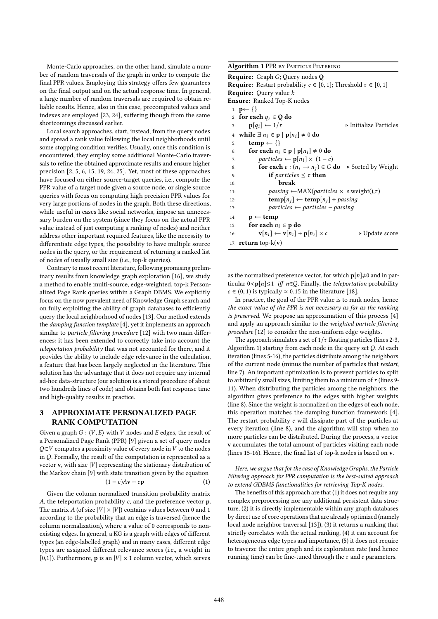Monte-Carlo approaches, on the other hand, simulate a number of random traversals of the graph in order to compute the final PPR values. Employing this strategy offers few guarantees on the final output and on the actual response time. In general, a large number of random traversals are required to obtain reliable results. Hence, also in this case, precomputed values and indexes are employed [23, 24], suffering though from the same shortcomings discussed earlier.

Local search approaches, start, instead, from the query nodes and spread a rank value following the local neighborhoods until some stopping condition verifies. Usually, once this condition is encountered, they employ some additional Monte-Carlo traversals to refine the obtained approximate results and ensure higher precision [2, 5, 6, 15, 19, 24, 25]. Yet, most of these approaches have focused on either source-target queries, i.e., compute the PPR value of a target node given a source node, or single source queries with focus on computing high precision PPR values for very large portions of nodes in the graph. Both these directions, while useful in cases like social networks, impose an unnecessary burden on the system (since they focus on the actual PPR value instead of just computing a ranking of nodes) and neither address other important required features, like the necessity to differentiate edge types, the possibility to have multiple source nodes in the query, or the requirement of returning a ranked list of nodes of usually small size (i.e., top-k queries).

Contrary to most recent literature, following promising preliminary results from knowledge graph exploration [16], we study a method to enable multi-source, edge-weighted, top-k Personalized Page Rank queries within a Graph DBMS. We explicitly focus on the now prevalent need of Knowledge Graph search and on fully exploiting the ability of graph databases to efficiently query the local neighborhood of nodes [13]. Our method extends the damping function template [4], yet it implements an approach similar to particle filtering procedure [12] with two main differences: it has been extended to correctly take into account the teleportation probability that was not accounted for there, and it provides the ability to include edge relevance in the calculation, a feature that has been largely neglected in the literature. This solution has the advantage that it does not require any internal ad-hoc data-structure (our solution is a stored procedure of about two hundreds lines of code) and obtains both fast response time and high-quality results in practice.

## 3 APPROXIMATE PERSONALIZED PAGE RANK COMPUTATION

Given a graph  $G: \langle V, E \rangle$  with V nodes and E edges, the result of a Personalized Page Rank (PPR) [9] given a set of query nodes  $Q \subset V$  computes a proximity value of every node in V to the nodes in  $Q$ . Formally, the result of the computation is represented as a vector **v**, with size  $|V|$  representing the stationary distribution of the Markov chain [9] with state transition given by the equation

$$
(1-c)A\mathbf{v}+c\mathbf{p} \tag{1}
$$

Given the column normalized transition probability matrix A, the teleportation probability  $c$ , and the preference vector  $p$ . The matrix A (of size  $|V| \times |V|$ ) contains values between 0 and 1 according to the probability that an edge is traversed (hence the column normalization), where a value of 0 corresponds to nonexisting edges. In general, a KG is a graph with edges of different types (an edge-labelled graph) and in many cases, different edge types are assigned different relevance scores (i.e., a weight in [0,1]). Furthermore, **p** is an  $|V| \times 1$  column vector, which serves

#### Algorithm 1 PPR by Particle Filtering

Require: Graph G; Query nodes <sup>Q</sup> **Require:** Restart probability  $c \in [0, 1]$ ; Threshold  $\tau \in [0, 1]$ Require: Query value k Ensure: Ranked Top-K nodes 1:  $\mathbf{p} \leftarrow \{\}$ 2: for each  $q_i \in \mathbf{Q}$  do<br>3:  $\mathbf{p}[q_i] \leftarrow 1/\tau$ 3: <sup>p</sup>[qi] ← <sup>1</sup>/τ ▷ Initialize Particles 4: while  $\exists n_i \in \mathbf{p} | \mathbf{p}[n_i] \neq 0$  do  $\mathbf{f}$  $temp \leftarrow \{\}$ 6: for each  $n_i \in \mathbf{p} | \mathbf{p}[n_i] \neq 0$  do  $\overline{q_i}$ ,  $\overline{p_i}$  articles  $\leftarrow \mathbf{p}[n_i] \times (1 - c)$ 7:  $particles \leftarrow p[n_i] \times (1 - c)$ <br>8:  $\qquad \textbf{for each } e : (n_i \rightarrow n_i) \in G$ 8: **for each**  $e : (n_i \rightarrow n_j) \in G$  **do**  $\rightarrow$  Sorted by Weight 9: **if** particles  $\leq \tau$  **then**<br>10: **break** 10: break 11:  $passing \leftarrow MAX(particles \times e.webight(),\tau)$ <br>  $temp[n_i] \leftarrow temp[n_i] + passing[n_i]$ 12:  $temp[n_j] \leftarrow temp[n_j] + passing$ <br>13:  $particles \leftarrow particles - passing$ 13: particles ← particles – passing<br>14:  $\mathbf{n} \leftarrow \text{temp}$  $p \leftarrow temp$ 15: for each  $n_i \in \mathbf{p}$  do<br>  $\mathbf{v}[n_i] \leftarrow \mathbf{v}[n_i] +$  $\mathbf{v}[n_i] \leftarrow \mathbf{v}[n_i] + \mathbf{p}[n_i] \times c \qquad \rightarrow \text{Update score}$ 17:  $return top-k(v)$ 

as the normalized preference vector, for which  $p[n]\neq0$  and in particular  $0 < p[n] \leq 1$  iff n∈Q. Finally, the teleportation probability  $c \in (0, 1)$  is typically  $\approx 0.15$  in the literature [18].

In practice, the goal of the PPR value is to rank nodes, hence the exact value of the PPR is not necessary as far as the ranking is preserved. We propose an approximation of this process [4] and apply an approach similar to the weighted particle filtering procedure [12] to consider the non-uniform edge weights.

The approach simulates a set of  $1/\tau$  floating particles (lines 2-3, Algorithm 1) starting from each node in the query set  $Q$ . At each iteration (lines 5-16), the particles distribute among the neighbors of the current node (minus the number of particles that restart, line 7). An important optimization is to prevent particles to split to arbitrarily small sizes, limiting them to a minimum of  $\tau$  (lines 9-11). When distributing the particles among the neighbors, the algorithm gives preference to the edges with higher weights (line 8). Since the weight is normalized on the edges of each node, this operation matches the damping function framework [4]. The restart probability  $c$  will dissipate part of the particles at every iteration (line 8), and the algorithm will stop when no more particles can be distributed. During the process, a vector v accumulates the total amount of particles visiting each node (lines 15-16). Hence, the final list of top-k nodes is based on v.

Here, we argue that for the case of Knowledge Graphs, the Particle Filtering approach for PPR computation is the best-suited approach to extend GDBMS functionalities for retrieving Top-K nodes.

The benefits of this approach are that (1) it does not require any complex preprocessing nor any additional persistent data structure, (2) it is directly implementable within any graph databases by direct use of core operations that are already optimized (namely local node neighbor traversal [13]), (3) it returns a ranking that strictly correlates with the actual ranking, (4) it can account for heterogeneous edge types and importance, (5) it does not require to traverse the entire graph and its exploration rate (and hence running time) can be fine-tuned through the  $\tau$  and  $c$  parameters.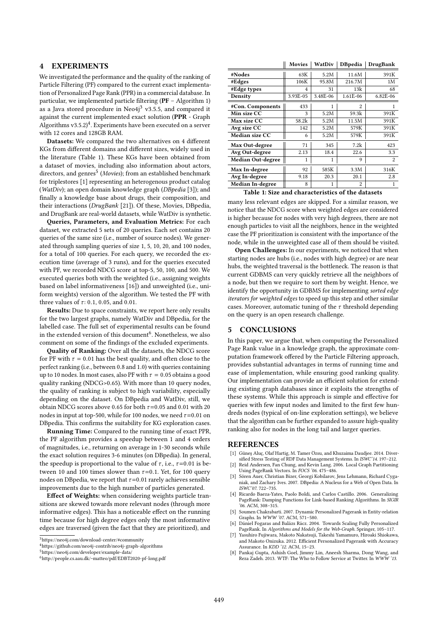#### 4 EXPERIMENTS

We investigated the performance and the quality of the ranking of Particle Filtering (PF) compared to the current exact implementation of Personalized Page Rank (PPR) in a commercial database. In particular, we implemented particle filtering (PF – Algorithm 1) as a Java stored procedure in Neo4j<sup>3</sup> v3.5.5, and compared it against the current implemented exact solution (PPR - Graph  $\overrightarrow{A}$ lgorithms v3.5.2)<sup>4</sup>. Experiments have been executed on a server with 12 cores and 128GB RAM.

Datasets: We compared the two alternatives on 4 different KGs from different domains and different sizes, widely used in the literature (Table 1). These KGs have been obtained from a dataset of movies, including also information about actors, directors, and genres<sup>5</sup> (Movies); from an established benchmark for triplestores [1] representing an heterogenous product catalog (WatDiv); an open domain knowledge graph (DBpedia [3]); and finally a knowledge base about drugs, their composition, and their interactions (DrugBank [21]). Of these, Movies, DBpedia, and DrugBank are real-world datasets, while WatDiv is synthetic.

Queries, Parameters, and Evaluation Metrics: For each dataset, we extracted 5 sets of 20 queries. Each set contains 20 queries of the same size (i.e., number of source nodes). We generated through sampling queries of size 1, 5, 10, 20, and 100 nodes, for a total of 100 queries. For each query, we recorded the execution time (average of 3 runs), and for the queries executed with PF, we recorded NDCG score at top-5, 50, 100, and 500. We executed queries both with the weighted (i.e., assigning weights based on label informativeness [16]) and unweighted (i.e., uniform weights) version of the algorithm. We tested the PF with three values of  $\tau$ : 0.1, 0.05, and 0.01.

Results: Due to space constraints, we report here only results for the two largest graphs, namely WatDiv and DBpedia, for the labelled case. The full set of experimental results can be found in the extended version of this document<sup>6</sup>. Nonetheless, we also comment on some of the findings of the excluded experiments.

Quality of Ranking: Over all the datasets, the NDCG score for PF with  $\tau = 0.01$  has the best quality, and often close to the perfect ranking (i.e., between <sup>0</sup>.<sup>8</sup> and <sup>1</sup>.0) with queries containing up to 10 nodes. In most cases, also PF with  $\tau = 0.05$  obtains a good quality ranking (NDCG>0.65). With more than 10 query nodes, the quality of ranking is subject to high variability, especially depending on the dataset. On DBpedia and WatDiv, still, we obtain NDCG scores above 0.65 for both  $\tau$ =0.05 and 0.01 with 20 nodes in input at top-500, while for 100 nodes, we need  $\tau$ =0.01 on DBpedia. This confirms the suitability for KG exploration cases.

Running Time: Compared to the running time of exact PPR, the PF algorithm provides a speedup between 1 and 4 orders of magnitudes, i.e., returning on average in 1-30 seconds while the exact solution requires 3-6 minutes (on DBpedia). In general, the speedup is proportional to the value of  $\tau$ , i.e.,  $\tau$ =0.01 is between 10 and 100 times slower than  $\tau$ =0.1. Yet, for 100 query nodes on DBpedia, we report that  $\tau$ =0.01 rarely achieves sensible improvements due to the high number of particles generated.

Effect of Weights: when considering weights particle transitions are skewed towards more relevant nodes (through more informative edges). This has a noticeable effect on the running time because for high degree edges only the most informative edges are traversed (given the fact that they are prioritized), and



<sup>4</sup>https://github.com/neo4j-contrib/neo4j-graph-algorithms

|                          | 171 U V 1 U S | vvalljiv | DDDCula        | DI ugballn     |
|--------------------------|---------------|----------|----------------|----------------|
| #Nodes                   | 63K           | 5.2M     | 11.6M          | 391K           |
| #Edges                   | 106K          | 95.8M    | 216.7M         | 1M             |
| #Edge types              | 4             | 31       | 13k            | 68             |
| Density                  | 3.93E-05      | 3.48E-06 | 1.61E-06       | 6.82E-06       |
| #Con. Components         | 433           |          | $\overline{2}$ | 1              |
| Min size CC              | 3             | 5.2M     | 59.3k          | 391K           |
| Max size CC              | 58.2k         | 5.2M     | 11.5M          | 391K           |
| Avg size CC              | 142           | 5.2M     | 579K           | 391K           |
| Median size CC           | 6             | 5.2M     | 579K           | 391K           |
| Max Out-degree           | 71            | 345      | 7.2k           | 423            |
| Avg Out-degree           | 2.13          | 18.4     | 22.6           | 3.3            |
| <b>Median Out-degree</b> | 1             |          | 9              | $\overline{c}$ |
| Max In-degree            | 92            | 585K     | 3.3M           | 316K           |
| Avg In-degree            | 9.18          | 20.3     | 20.1           | 2.8            |

Movies WatDiv DBpedia DrugBank

Median In-degree 8 1 2 1 Table 1: Size and characteristics of the datasets

many less relevant edges are skipped. For a similar reason, we notice that the NDCG score when weighted edges are considered is higher because for nodes with very high degrees, there are not enough particles to visit all the neighbors, hence in the weighted case the PF prioritization is consistent with the importance of the node, while in the unweighted case all of them should be visited.

Open Challenges: In our experiments, we noticed that when starting nodes are hubs (i.e., nodes with high degree) or are near hubs, the weighted traversal is the bottleneck. The reason is that current GDBMS can very quickly retrieve all the neighbors of a node, but then we require to sort them by weight. Hence, we identify the opportunity in GDBMS for implementing sorted edge iterators for weighted edges to speed up this step and other similar cases. Moreover, automatic tuning of the  $\tau$  threshold depending on the query is an open research challenge.

#### 5 CONCLUSIONS

In this paper, we argue that, when computing the Personalized Page Rank value in a knowledge graph, the approximate computation framework offered by the Particle Filtering approach, provides substantial advantages in terms of running time and ease of implementation, while ensuring good ranking quality. Our implementation can provide an efficient solution for extending existing graph databases since it exploits the strengths of these systems. While this approach is simple and effective for queries with few input nodes and limited to the first few hundreds nodes (typical of on-line exploration settings), we believe that the algorithm can be further expanded to assure high-quality ranking also for nodes in the long tail and larger queries.

#### REFERENCES

- [1] Güneş Aluç, Olaf Hartig, M. Tamer Özsu, and Khuzaima Daudjee. 2014. Diversified Stress Testing of RDF Data Management Systems. In ISWC'14. 197–212. [2] Reid Andersen, Fan Chung, and Kevin Lang. 2006. Local Graph Partitioning
- Using PageRank Vectors. In FOCS '06. 475–486.
- [3] Sören Auer, Christian Bizer, Georgi Kobilarov, Jens Lehmann, Richard Cyganiak, and Zachary Ives. 2007. DBpedia: A Nucleus for a Web of Open Data. In ISWC'07. 722–735.
- [4] Ricardo Baeza-Yates, Paolo Boldi, and Carlos Castillo. 2006. Generalizing PageRank: Damping Functions for Link-based Ranking Algorithms. In SIGIR '06. ACM, 308–315.
- [5] Soumen Chakrabarti. 2007. Dynamic Personalized Pagerank in Entity-relation Graphs. In WWW '07. ACM, 571–580.
- Dániel Fogaras and Balázs Rácz. 2004. Towards Scaling Fully Personalized PageRank. In Algorithms and Models for the Web-Graph. Springer, 105–117.
- [7] Yasuhiro Fujiwara, Makoto Nakatsuji, Takeshi Yamamuro, Hiroaki Shiokawa, and Makoto Onizuka. 2012. Efficient Personalized Pagerank with Accuracy Assurance. In KDD '12. ACM, 15–23.
- [8] Pankaj Gupta, Ashish Goel, Jimmy Lin, Aneesh Sharma, Dong Wang, and Reza Zadeh. 2013. WTF: The Who to Follow Service at Twitter. In WWW '13.

<sup>5</sup>https://neo4j.com/developer/example-data/

<sup>6</sup>http://people.cs.aau.dk/~matteo/pdf/EDBT2020-pf-long.pdf